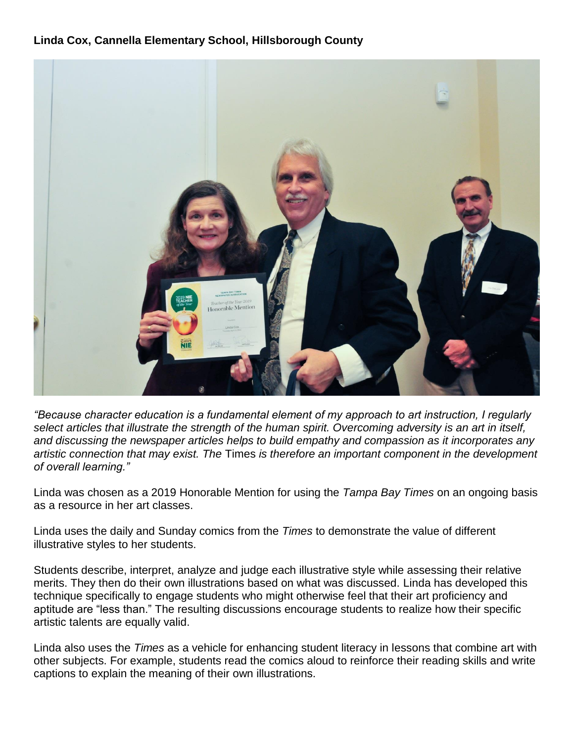## **Linda Cox, Cannella Elementary School, Hillsborough County**



*"Because character education is a fundamental element of my approach to art instruction, I regularly select articles that illustrate the strength of the human spirit. Overcoming adversity is an art in itself, and discussing the newspaper articles helps to build empathy and compassion as it incorporates any artistic connection that may exist. The* Times *is therefore an important component in the development of overall learning."*

Linda was chosen as a 2019 Honorable Mention for using the *Tampa Bay Times* on an ongoing basis as a resource in her art classes.

Linda uses the daily and Sunday comics from the *Times* to demonstrate the value of different illustrative styles to her students.

Students describe, interpret, analyze and judge each illustrative style while assessing their relative merits. They then do their own illustrations based on what was discussed. Linda has developed this technique specifically to engage students who might otherwise feel that their art proficiency and aptitude are "less than." The resulting discussions encourage students to realize how their specific artistic talents are equally valid.

Linda also uses the *Times* as a vehicle for enhancing student literacy in lessons that combine art with other subjects. For example, students read the comics aloud to reinforce their reading skills and write captions to explain the meaning of their own illustrations.